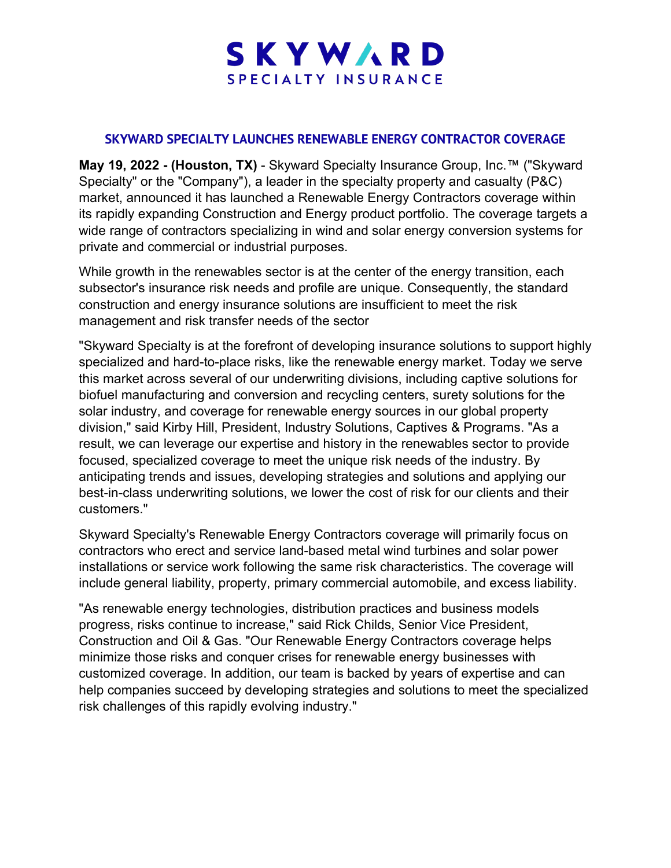## SKYWARD SPECIALTY INSURANCE

## **SKYWARD SPECIALTY LAUNCHES RENEWABLE ENERGY CONTRACTOR COVERAGE**

**May 19, 2022 - (Houston, TX)** - Skyward Specialty Insurance Group, Inc.™ ("Skyward Specialty" or the "Company"), a leader in the specialty property and casualty (P&C) market, announced it has launched a Renewable Energy Contractors coverage within its rapidly expanding Construction and Energy product portfolio. The coverage targets a wide range of contractors specializing in wind and solar energy conversion systems for private and commercial or industrial purposes.

While growth in the renewables sector is at the center of the energy transition, each subsector's insurance risk needs and profile are unique. Consequently, the standard construction and energy insurance solutions are insufficient to meet the risk management and risk transfer needs of the sector

"Skyward Specialty is at the forefront of developing insurance solutions to support highly specialized and hard-to-place risks, like the renewable energy market. Today we serve this market across several of our underwriting divisions, including captive solutions for biofuel manufacturing and conversion and recycling centers, surety solutions for the solar industry, and coverage for renewable energy sources in our global property division," said Kirby Hill, President, Industry Solutions, Captives & Programs. "As a result, we can leverage our expertise and history in the renewables sector to provide focused, specialized coverage to meet the unique risk needs of the industry. By anticipating trends and issues, developing strategies and solutions and applying our best-in-class underwriting solutions, we lower the cost of risk for our clients and their customers."

Skyward Specialty's Renewable Energy Contractors coverage will primarily focus on contractors who erect and service land-based metal wind turbines and solar power installations or service work following the same risk characteristics. The coverage will include general liability, property, primary commercial automobile, and excess liability.

"As renewable energy technologies, distribution practices and business models progress, risks continue to increase," said Rick Childs, Senior Vice President, Construction and Oil & Gas. "Our Renewable Energy Contractors coverage helps minimize those risks and conquer crises for renewable energy businesses with customized coverage. In addition, our team is backed by years of expertise and can help companies succeed by developing strategies and solutions to meet the specialized risk challenges of this rapidly evolving industry."